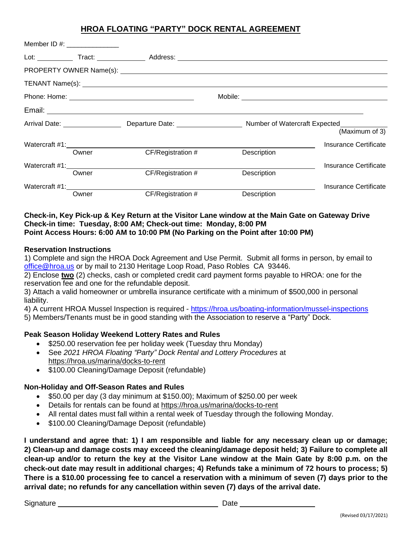# **HROA FLOATING "PARTY" DOCK RENTAL AGREEMENT**

|  | Member ID #: $\frac{1}{2}$ = 0.000 m |                   |             |                       |
|--|--------------------------------------|-------------------|-------------|-----------------------|
|  |                                      |                   |             |                       |
|  |                                      |                   |             |                       |
|  |                                      |                   |             |                       |
|  |                                      |                   |             |                       |
|  |                                      |                   |             |                       |
|  |                                      |                   |             | (Maximum of 3)        |
|  |                                      |                   |             | Insurance Certificate |
|  | Owner                                | CF/Registration # | Description |                       |
|  |                                      |                   |             | Insurance Certificate |
|  | Owner                                | CF/Registration # | Description |                       |
|  |                                      |                   |             | Insurance Certificate |
|  | Owner                                | CF/Registration # | Description |                       |

#### **Check-in, Key Pick-up & Key Return at the Visitor Lane window at the Main Gate on Gateway Drive Check-in time: Tuesday, 8:00 AM; Check-out time: Monday, 8:00 PM Point Access Hours: 6:00 AM to 10:00 PM (No Parking on the Point after 10:00 PM)**

### **Reservation Instructions**

1) Complete and sign the HROA Dock Agreement and Use Permit. Submit all forms in person, by email to [office@hroa.us](mailto:office@hroa.us) or by mail to 2130 Heritage Loop Road, Paso Robles CA 93446.

2) Enclose **two** (2) checks, cash or completed credit card payment forms payable to HROA: one for the reservation fee and one for the refundable deposit.

3) Attach a valid homeowner or umbrella insurance certificate with a minimum of \$500,000 in personal liability.

4) A current HROA Mussel Inspection is required - [https://hroa.us/boating-information/mussel-inspections](https://hroa.us/boating-information/mussel-inspections%205)

[5\)](https://hroa.us/boating-information/mussel-inspections%205) Members/Tenants must be in good standing with the Association to reserve a "Party" Dock.

### **Peak Season Holiday Weekend Lottery Rates and Rules**

- \$250.00 reservation fee per holiday week (Tuesday thru Monday)
- See *2021 HROA Floating "Party" Dock Rental and Lottery Procedures* at https://hroa.us/marina/docks-to-rent
- \$100.00 Cleaning/Damage Deposit (refundable)

### **Non-Holiday and Off-Season Rates and Rules**

- \$50.00 per day (3 day minimum at \$150.00); Maximum of \$250.00 per week
- Details for rentals can be found at https://hroa.us/marina/docks-to-rent
- All rental dates must fall within a rental week of Tuesday through the following Monday.
- \$100.00 Cleaning/Damage Deposit (refundable)

**I understand and agree that: 1) I am responsible and liable for any necessary clean up or damage; 2) Clean-up and damage costs may exceed the cleaning/damage deposit held; 3) Failure to complete all clean-up and/or to return the key at the Visitor Lane window at the Main Gate by 8:00 p.m. on the check-out date may result in additional charges; 4) Refunds take a minimum of 72 hours to process; 5) There is a \$10.00 processing fee to cancel a reservation with a minimum of seven (7) days prior to the arrival date; no refunds for any cancellation within seven (7) days of the arrival date.**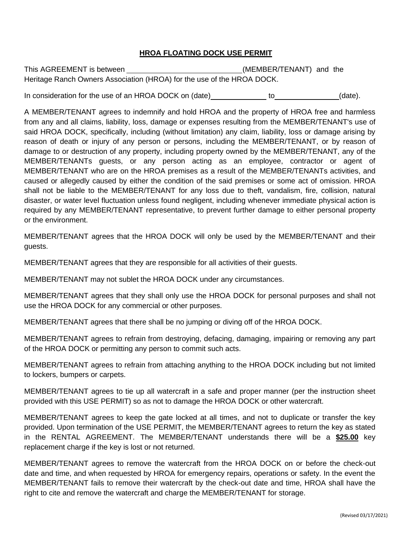### **HROA FLOATING DOCK USE PERMIT**

This AGREEMENT is between (MEMBER/TENANT) and the Heritage Ranch Owners Association (HROA) for the use of the HROA DOCK.

In consideration for the use of an HROA DOCK on (date) to the to the consideration for the use of an HROA DOCK on (date).

A MEMBER/TENANT agrees to indemnify and hold HROA and the property of HROA free and harmless from any and all claims, liability, loss, damage or expenses resulting from the MEMBER/TENANT's use of said HROA DOCK, specifically, including (without limitation) any claim, liability, loss or damage arising by reason of death or injury of any person or persons, including the MEMBER/TENANT, or by reason of damage to or destruction of any property, including property owned by the MEMBER/TENANT, any of the MEMBER/TENANTs guests, or any person acting as an employee, contractor or agent of MEMBER/TENANT who are on the HROA premises as a result of the MEMBER/TENANTs activities, and caused or allegedly caused by either the condition of the said premises or some act of omission. HROA shall not be liable to the MEMBER/TENANT for any loss due to theft, vandalism, fire, collision, natural disaster, or water level fluctuation unless found negligent, including whenever immediate physical action is required by any MEMBER/TENANT representative, to prevent further damage to either personal property or the environment.

MEMBER/TENANT agrees that the HROA DOCK will only be used by the MEMBER/TENANT and their guests.

MEMBER/TENANT agrees that they are responsible for all activities of their guests.

MEMBER/TENANT may not sublet the HROA DOCK under any circumstances.

MEMBER/TENANT agrees that they shall only use the HROA DOCK for personal purposes and shall not use the HROA DOCK for any commercial or other purposes.

MEMBER/TENANT agrees that there shall be no jumping or diving off of the HROA DOCK.

MEMBER/TENANT agrees to refrain from destroying, defacing, damaging, impairing or removing any part of the HROA DOCK or permitting any person to commit such acts.

MEMBER/TENANT agrees to refrain from attaching anything to the HROA DOCK including but not limited to lockers, bumpers or carpets.

MEMBER/TENANT agrees to tie up all watercraft in a safe and proper manner (per the instruction sheet provided with this USE PERMIT) so as not to damage the HROA DOCK or other watercraft.

MEMBER/TENANT agrees to keep the gate locked at all times, and not to duplicate or transfer the key provided. Upon termination of the USE PERMIT, the MEMBER/TENANT agrees to return the key as stated in the RENTAL AGREEMENT. The MEMBER/TENANT understands there will be a **\$25.00** key replacement charge if the key is lost or not returned.

MEMBER/TENANT agrees to remove the watercraft from the HROA DOCK on or before the check-out date and time, and when requested by HROA for emergency repairs, operations or safety. In the event the MEMBER/TENANT fails to remove their watercraft by the check-out date and time, HROA shall have the right to cite and remove the watercraft and charge the MEMBER/TENANT for storage.